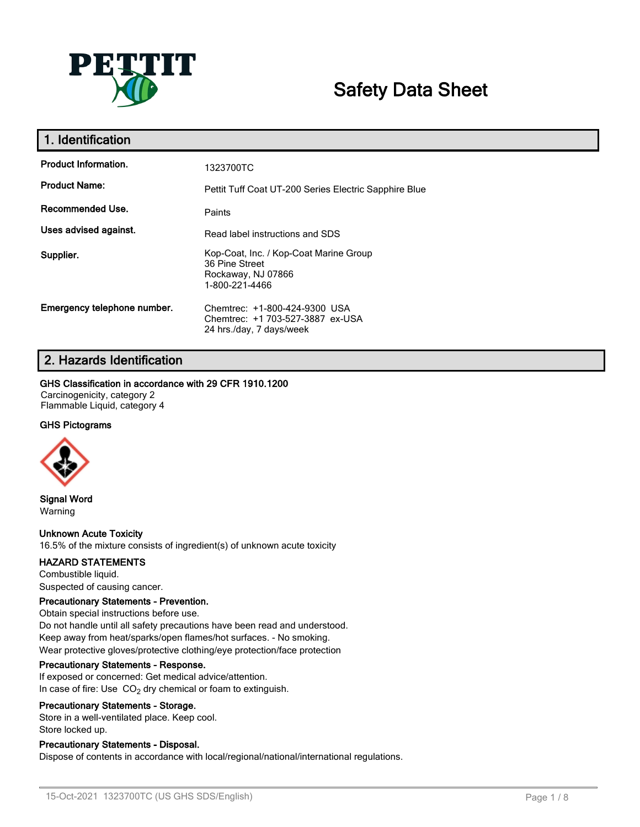

# **Safety Data Sheet**

| 1. Identification           |                                                                                                  |
|-----------------------------|--------------------------------------------------------------------------------------------------|
| <b>Product Information.</b> | 1323700TC                                                                                        |
| <b>Product Name:</b>        | Pettit Tuff Coat UT-200 Series Electric Sapphire Blue                                            |
| Recommended Use.            | Paints                                                                                           |
| Uses advised against.       | Read label instructions and SDS                                                                  |
| Supplier.                   | Kop-Coat, Inc. / Kop-Coat Marine Group<br>36 Pine Street<br>Rockaway, NJ 07866<br>1-800-221-4466 |
| Emergency telephone number. | Chemtrec: +1-800-424-9300 USA<br>Chemtrec: +1 703-527-3887 ex-USA<br>24 hrs./day, 7 days/week    |

# **2. Hazards Identification**

### **GHS Classification in accordance with 29 CFR 1910.1200**

Carcinogenicity, category 2 Flammable Liquid, category 4

### **GHS Pictograms**



**Signal Word** Warning

### **Unknown Acute Toxicity**

16.5% of the mixture consists of ingredient(s) of unknown acute toxicity

#### **HAZARD STATEMENTS**

Combustible liquid. Suspected of causing cancer.

#### **Precautionary Statements - Prevention.**

Obtain special instructions before use. Do not handle until all safety precautions have been read and understood. Keep away from heat/sparks/open flames/hot surfaces. - No smoking. Wear protective gloves/protective clothing/eye protection/face protection

#### **Precautionary Statements - Response.**

If exposed or concerned: Get medical advice/attention. In case of fire: Use  $CO<sub>2</sub>$  dry chemical or foam to extinguish.

#### **Precautionary Statements - Storage.**

Store in a well-ventilated place. Keep cool. Store locked up.

### **Precautionary Statements - Disposal.**

Dispose of contents in accordance with local/regional/national/international regulations.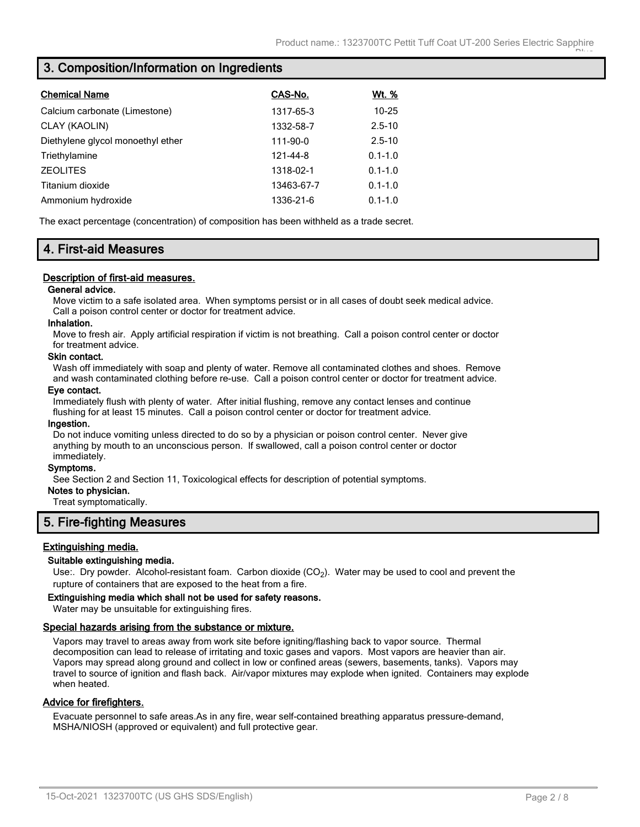# **3. Composition/Information on Ingredients**

| <b>Chemical Name</b>              | CAS-No.    | <u>Wt. %</u> |
|-----------------------------------|------------|--------------|
| Calcium carbonate (Limestone)     | 1317-65-3  | $10 - 25$    |
| CLAY (KAOLIN)                     | 1332-58-7  | $2.5 - 10$   |
| Diethylene glycol monoethyl ether | 111-90-0   | $2.5 - 10$   |
| Triethylamine                     | 121-44-8   | $0.1 - 1.0$  |
| <b>ZEOLITES</b>                   | 1318-02-1  | $0.1 - 1.0$  |
| Titanium dioxide                  | 13463-67-7 | $0.1 - 1.0$  |
| Ammonium hydroxide                | 1336-21-6  | $0.1 - 1.0$  |

The exact percentage (concentration) of composition has been withheld as a trade secret.

# **4. First-aid Measures**

#### **Description of first-aid measures.**

#### **General advice.**

Move victim to a safe isolated area. When symptoms persist or in all cases of doubt seek medical advice. Call a poison control center or doctor for treatment advice.

#### **Inhalation.**

Move to fresh air. Apply artificial respiration if victim is not breathing. Call a poison control center or doctor for treatment advice.

#### **Skin contact.**

Wash off immediately with soap and plenty of water. Remove all contaminated clothes and shoes. Remove and wash contaminated clothing before re-use. Call a poison control center or doctor for treatment advice.

#### **Eye contact.**

Immediately flush with plenty of water. After initial flushing, remove any contact lenses and continue flushing for at least 15 minutes. Call a poison control center or doctor for treatment advice.

#### **Ingestion.**

Do not induce vomiting unless directed to do so by a physician or poison control center. Never give anything by mouth to an unconscious person. If swallowed, call a poison control center or doctor immediately.

#### **Symptoms.**

See Section 2 and Section 11, Toxicological effects for description of potential symptoms.

#### **Notes to physician.**

Treat symptomatically.

# **5. Fire-fighting Measures**

#### **Extinguishing media.**

#### **Suitable extinguishing media.**

Use:. Dry powder. Alcohol-resistant foam. Carbon dioxide (CO<sub>2</sub>). Water may be used to cool and prevent the rupture of containers that are exposed to the heat from a fire.

#### **Extinguishing media which shall not be used for safety reasons.**

Water may be unsuitable for extinguishing fires.

#### **Special hazards arising from the substance or mixture.**

Vapors may travel to areas away from work site before igniting/flashing back to vapor source. Thermal decomposition can lead to release of irritating and toxic gases and vapors. Most vapors are heavier than air. Vapors may spread along ground and collect in low or confined areas (sewers, basements, tanks). Vapors may travel to source of ignition and flash back. Air/vapor mixtures may explode when ignited. Containers may explode when heated.

#### **Advice for firefighters.**

Evacuate personnel to safe areas.As in any fire, wear self-contained breathing apparatus pressure-demand, MSHA/NIOSH (approved or equivalent) and full protective gear.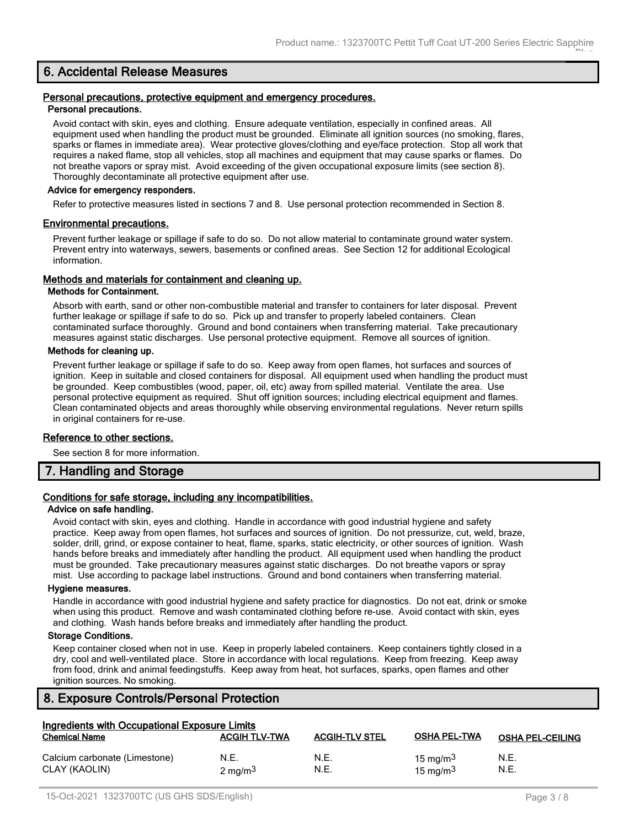# **6. Accidental Release Measures**

#### **Personal precautions, protective equipment and emergency procedures. Personal precautions.**

Avoid contact with skin, eyes and clothing. Ensure adequate ventilation, especially in confined areas. All equipment used when handling the product must be grounded. Eliminate all ignition sources (no smoking, flares, sparks or flames in immediate area). Wear protective gloves/clothing and eye/face protection. Stop all work that requires a naked flame, stop all vehicles, stop all machines and equipment that may cause sparks or flames. Do not breathe vapors or spray mist. Avoid exceeding of the given occupational exposure limits (see section 8). Thoroughly decontaminate all protective equipment after use.

#### **Advice for emergency responders.**

Refer to protective measures listed in sections 7 and 8. Use personal protection recommended in Section 8.

#### **Environmental precautions.**

Prevent further leakage or spillage if safe to do so. Do not allow material to contaminate ground water system. Prevent entry into waterways, sewers, basements or confined areas. See Section 12 for additional Ecological information.

#### **Methods and materials for containment and cleaning up.**

#### **Methods for Containment.**

Absorb with earth, sand or other non-combustible material and transfer to containers for later disposal. Prevent further leakage or spillage if safe to do so. Pick up and transfer to properly labeled containers. Clean contaminated surface thoroughly. Ground and bond containers when transferring material. Take precautionary measures against static discharges. Use personal protective equipment. Remove all sources of ignition.

#### **Methods for cleaning up.**

Prevent further leakage or spillage if safe to do so. Keep away from open flames, hot surfaces and sources of ignition. Keep in suitable and closed containers for disposal. All equipment used when handling the product must be grounded. Keep combustibles (wood, paper, oil, etc) away from spilled material. Ventilate the area. Use personal protective equipment as required. Shut off ignition sources; including electrical equipment and flames. Clean contaminated objects and areas thoroughly while observing environmental regulations. Never return spills in original containers for re-use.

#### **Reference to other sections.**

See section 8 for more information.

# **7. Handling and Storage**

## **Conditions for safe storage, including any incompatibilities.**

#### **Advice on safe handling.**

Avoid contact with skin, eyes and clothing. Handle in accordance with good industrial hygiene and safety practice. Keep away from open flames, hot surfaces and sources of ignition. Do not pressurize, cut, weld, braze, solder, drill, grind, or expose container to heat, flame, sparks, static electricity, or other sources of ignition. Wash hands before breaks and immediately after handling the product. All equipment used when handling the product must be grounded. Take precautionary measures against static discharges. Do not breathe vapors or spray mist. Use according to package label instructions. Ground and bond containers when transferring material.

#### **Hygiene measures.**

Handle in accordance with good industrial hygiene and safety practice for diagnostics. Do not eat, drink or smoke when using this product. Remove and wash contaminated clothing before re-use. Avoid contact with skin, eyes and clothing. Wash hands before breaks and immediately after handling the product.

#### **Storage Conditions.**

Keep container closed when not in use. Keep in properly labeled containers. Keep containers tightly closed in a dry, cool and well-ventilated place. Store in accordance with local regulations. Keep from freezing. Keep away from food, drink and animal feedingstuffs. Keep away from heat, hot surfaces, sparks, open flames and other ignition sources. No smoking.

# **8. Exposure Controls/Personal Protection**

| Ingredients with Occupational Exposure Limits  |                            |                       |                            |                         |  |  |
|------------------------------------------------|----------------------------|-----------------------|----------------------------|-------------------------|--|--|
| <b>Chemical Name</b>                           | <b>ACGIH TLV-TWA</b>       | <b>ACGIH-TLV STEL</b> | <b>OSHA PEL-TWA</b>        | <b>OSHA PEL-CEILING</b> |  |  |
| Calcium carbonate (Limestone)<br>CLAY (KAOLIN) | N.E.<br>$2 \text{ mg/m}^3$ | N.E.<br>N.E.          | 15 mg/m $3$<br>15 mg/m $3$ | N.E.<br>N.E.            |  |  |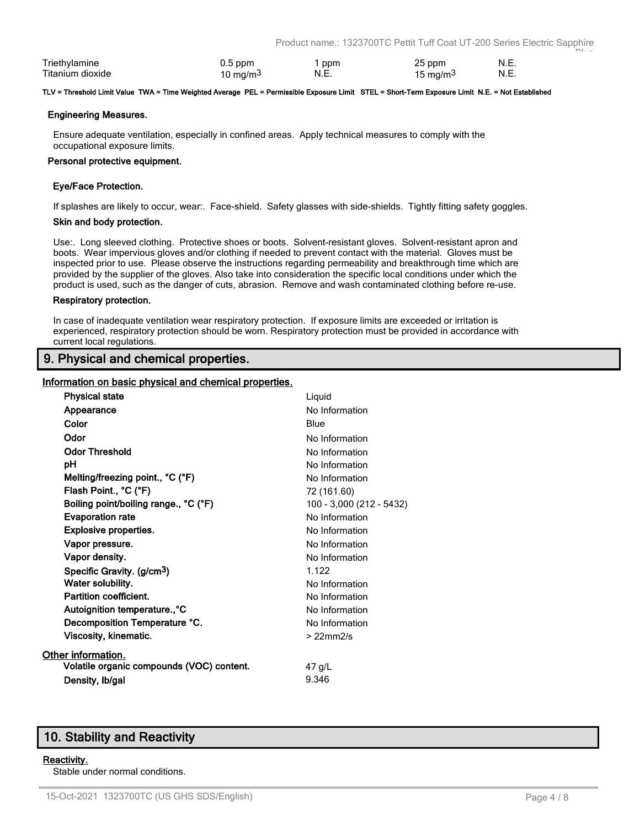Blue

| Triethvlamine    | b ppm               | ppm  | 25 ppm            | N<br>᠃ |
|------------------|---------------------|------|-------------------|--------|
| Titanium dioxide | $10 \text{ mg/m}^3$ | N.E. | $15 \text{ ma/m}$ | N<br>᠃ |

#### **TLV = Threshold Limit Value TWA = Time Weighted Average PEL = Permissible Exposure Limit STEL = Short-Term Exposure Limit N.E. = Not Established**

#### **Engineering Measures.**

Ensure adequate ventilation, especially in confined areas. Apply technical measures to comply with the occupational exposure limits.

#### **Personal protective equipment.**

#### **Eye/Face Protection.**

If splashes are likely to occur, wear:. Face-shield. Safety glasses with side-shields. Tightly fitting safety goggles.

#### **Skin and body protection.**

Use:. Long sleeved clothing. Protective shoes or boots. Solvent-resistant gloves. Solvent-resistant apron and boots. Wear impervious gloves and/or clothing if needed to prevent contact with the material. Gloves must be inspected prior to use. Please observe the instructions regarding permeability and breakthrough time which are provided by the supplier of the gloves. Also take into consideration the specific local conditions under which the product is used, such as the danger of cuts, abrasion. Remove and wash contaminated clothing before re-use.

#### **Respiratory protection.**

In case of inadequate ventilation wear respiratory protection. If exposure limits are exceeded or irritation is experienced, respiratory protection should be worn. Respiratory protection must be provided in accordance with current local regulations.

# **9. Physical and chemical properties.**

#### **Information on basic physical and chemical properties.**

| <b>Physical state</b>                     | Liquid                   |
|-------------------------------------------|--------------------------|
| Appearance                                | No Information           |
| Color                                     | Blue                     |
| Odor                                      | No Information           |
| <b>Odor Threshold</b>                     | No Information           |
| pН                                        | No Information           |
| Melting/freezing point., °C (°F)          | No Information           |
| Flash Point., °C (°F)                     | 72 (161.60)              |
| Boiling point/boiling range., °C (°F)     | 100 - 3,000 (212 - 5432) |
| <b>Evaporation rate</b>                   | No Information           |
| <b>Explosive properties.</b>              | No Information           |
| Vapor pressure.                           | No Information           |
| Vapor density.                            | No Information           |
| Specific Gravity. (g/cm <sup>3</sup> )    | 1.122                    |
| Water solubility.                         | No Information           |
| <b>Partition coefficient.</b>             | No Information           |
| Autoignition temperature., °C             | No Information           |
| Decomposition Temperature °C.             | No Information           |
| Viscosity, kinematic.                     | $>22$ mm $2/s$           |
| Other information.                        |                          |
| Volatile organic compounds (VOC) content. | $47$ g/L                 |
| Density, Ib/gal                           | 9.346                    |

# **10. Stability and Reactivity**

#### **Reactivity.**

Stable under normal conditions.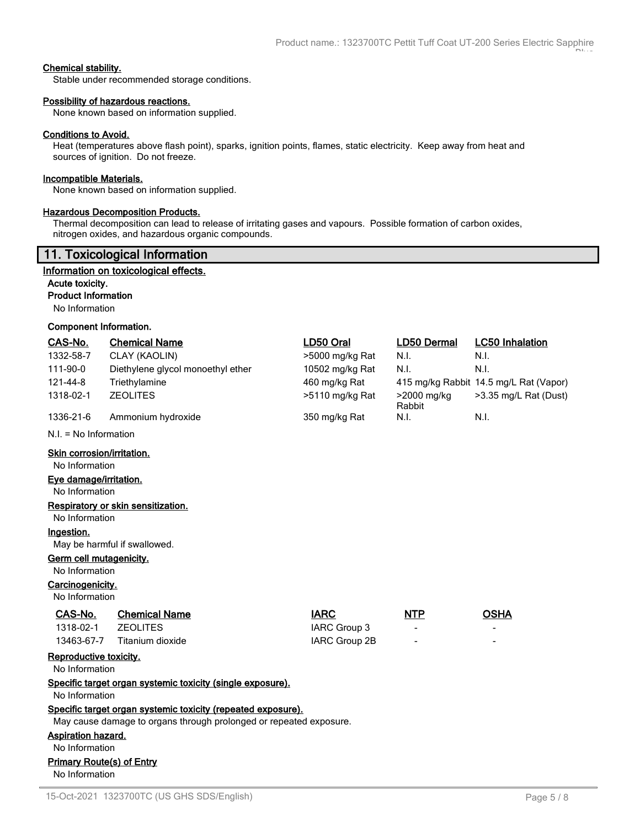### **Chemical stability.**

Stable under recommended storage conditions.

#### **Possibility of hazardous reactions.**

None known based on information supplied.

#### **Conditions to Avoid.**

Heat (temperatures above flash point), sparks, ignition points, flames, static electricity. Keep away from heat and sources of ignition. Do not freeze.

#### **Incompatible Materials.**

None known based on information supplied.

#### **Hazardous Decomposition Products.**

Thermal decomposition can lead to release of irritating gases and vapours. Possible formation of carbon oxides, nitrogen oxides, and hazardous organic compounds.

|                                                                              | 11. Toxicological Information         |                 |                       |                                        |  |  |  |
|------------------------------------------------------------------------------|---------------------------------------|-----------------|-----------------------|----------------------------------------|--|--|--|
| Acute toxicity.                                                              | Information on toxicological effects. |                 |                       |                                        |  |  |  |
| <b>Product Information</b>                                                   |                                       |                 |                       |                                        |  |  |  |
| No Information                                                               |                                       |                 |                       |                                        |  |  |  |
| <b>Component Information.</b>                                                |                                       |                 |                       |                                        |  |  |  |
| CAS-No.                                                                      | <b>Chemical Name</b>                  | LD50 Oral       | LD50 Dermal           | <b>LC50 Inhalation</b>                 |  |  |  |
| 1332-58-7                                                                    | CLAY (KAOLIN)                         | >5000 mg/kg Rat | N.I.                  | N.I.                                   |  |  |  |
| 111-90-0                                                                     | Diethylene glycol monoethyl ether     | 10502 mg/kg Rat | N.I.                  | N.I.                                   |  |  |  |
| 121-44-8                                                                     | Triethylamine                         | 460 mg/kg Rat   |                       | 415 mg/kg Rabbit 14.5 mg/L Rat (Vapor) |  |  |  |
| 1318-02-1                                                                    | <b>ZEOLITES</b>                       | >5110 mg/kg Rat | >2000 mg/kg<br>Rabbit | >3.35 mg/L Rat (Dust)                  |  |  |  |
| 1336-21-6                                                                    | Ammonium hydroxide                    | 350 mg/kg Rat   | N.I.                  | N.I.                                   |  |  |  |
| $N.I. = No$ Information                                                      |                                       |                 |                       |                                        |  |  |  |
| Skin corrosion/irritation.<br>No Information                                 |                                       |                 |                       |                                        |  |  |  |
| Eye damage/irritation.                                                       |                                       |                 |                       |                                        |  |  |  |
| No Information                                                               |                                       |                 |                       |                                        |  |  |  |
|                                                                              | Respiratory or skin sensitization.    |                 |                       |                                        |  |  |  |
| No Information                                                               |                                       |                 |                       |                                        |  |  |  |
| Ingestion.                                                                   |                                       |                 |                       |                                        |  |  |  |
|                                                                              | May be harmful if swallowed.          |                 |                       |                                        |  |  |  |
| Germ cell mutagenicity.                                                      |                                       |                 |                       |                                        |  |  |  |
| No Information                                                               |                                       |                 |                       |                                        |  |  |  |
| Carcinogenicity.                                                             |                                       |                 |                       |                                        |  |  |  |
| No Information                                                               |                                       |                 |                       |                                        |  |  |  |
| CAS-No.                                                                      | <b>Chemical Name</b>                  | <b>IARC</b>     | <b>NTP</b>            | <b>OSHA</b>                            |  |  |  |
| 1318-02-1                                                                    | <b>ZEOLITES</b>                       | IARC Group 3    |                       | $\blacksquare$                         |  |  |  |
| 13463-67-7                                                                   | Titanium dioxide                      | IARC Group 2B   |                       |                                        |  |  |  |
| Reproductive toxicity.                                                       |                                       |                 |                       |                                        |  |  |  |
| No Information                                                               |                                       |                 |                       |                                        |  |  |  |
| Specific target organ systemic toxicity (single exposure).<br>No Information |                                       |                 |                       |                                        |  |  |  |
| Specific target organ systemic toxicity (repeated exposure).                 |                                       |                 |                       |                                        |  |  |  |
| May cause damage to organs through prolonged or repeated exposure.           |                                       |                 |                       |                                        |  |  |  |
| No Information                                                               | <b>Aspiration hazard.</b>             |                 |                       |                                        |  |  |  |
| <b>Primary Route(s) of Entry</b>                                             |                                       |                 |                       |                                        |  |  |  |
| No Information                                                               |                                       |                 |                       |                                        |  |  |  |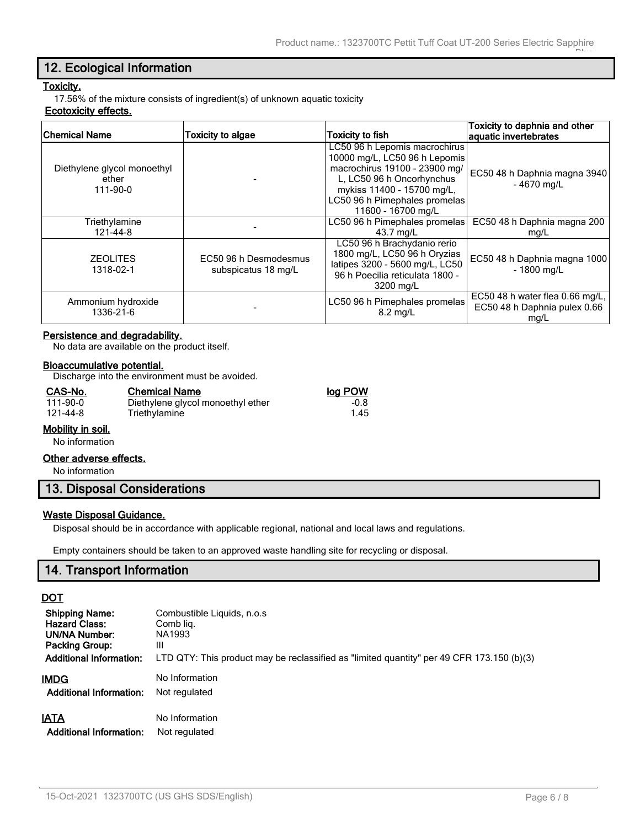# **12. Ecological Information**

## **Toxicity.**

17.56% of the mixture consists of ingredient(s) of unknown aquatic toxicity

### **Ecotoxicity effects.**

| <b>Chemical Name</b>                             | <b>Toxicity to algae</b>                     | <b>Toxicity to fish</b>                                                                                                                                                                                           | Toxicity to daphnia and other<br>aquatic invertebrates                  |
|--------------------------------------------------|----------------------------------------------|-------------------------------------------------------------------------------------------------------------------------------------------------------------------------------------------------------------------|-------------------------------------------------------------------------|
| Diethylene glycol monoethyl<br>ether<br>111-90-0 |                                              | LC50 96 h Lepomis macrochirus<br>10000 mg/L, LC50 96 h Lepomis<br>macrochirus 19100 - 23900 mg/<br>L, LC50 96 h Oncorhynchus<br>mykiss 11400 - 15700 mg/L,<br>LC50 96 h Pimephales promelas<br>11600 - 16700 mg/L | EC50 48 h Daphnia magna 3940<br>$-4670$ mg/L                            |
| Triethylamine<br>121-44-8                        |                                              | LC50 96 h Pimephales promelas<br>43.7 mg/L                                                                                                                                                                        | EC50 48 h Daphnia magna 200<br>mg/L                                     |
| <b>ZEOLITES</b><br>1318-02-1                     | EC50 96 h Desmodesmus<br>subspicatus 18 mg/L | LC50 96 h Brachydanio rerio<br>1800 mg/L, LC50 96 h Oryzias<br>latipes 3200 - 5600 mg/L, LC50<br>96 h Poecilia reticulata 1800 -<br>3200 mg/L                                                                     | EC50 48 h Daphnia magna 1000<br>- 1800 ma/L                             |
| Ammonium hydroxide<br>1336-21-6                  |                                              | LC50 96 h Pimephales promelas<br>8.2 mg/L                                                                                                                                                                         | EC50 48 h water flea 0.66 mg/L,<br>EC50 48 h Daphnia pulex 0.66<br>mq/L |

#### **Persistence and degradability.**

No data are available on the product itself.

#### **Bioaccumulative potential.**

Discharge into the environment must be avoided.

| CAS-No.  | <b>Chemical Name</b>              | log POW |
|----------|-----------------------------------|---------|
| 111-90-0 | Diethylene glycol monoethyl ether | $-0.8$  |
| 121-44-8 | Triethylamine                     | 1.45    |
|          |                                   |         |

# **Mobility in soil.**

No information

#### **Other adverse effects.**

No information

# **13. Disposal Considerations**

### **Waste Disposal Guidance.**

Disposal should be in accordance with applicable regional, national and local laws and regulations.

Empty containers should be taken to an approved waste handling site for recycling or disposal.

# **14. Transport Information**

### **DOT**

| <b>Shipping Name:</b>          | Combustible Liquids, n.o.s.                                                               |
|--------------------------------|-------------------------------------------------------------------------------------------|
| <b>Hazard Class:</b>           | Comb lig.                                                                                 |
| UN/NA Number:                  | NA1993                                                                                    |
| <b>Packing Group:</b>          | Ш                                                                                         |
| <b>Additional Information:</b> | LTD QTY: This product may be reclassified as "limited quantity" per 49 CFR 173.150 (b)(3) |
| IMDG                           | No Information                                                                            |
| <b>Additional Information:</b> | Not regulated                                                                             |
| <b>IATA</b>                    | No Information                                                                            |
| <b>Additional Information:</b> | Not regulated                                                                             |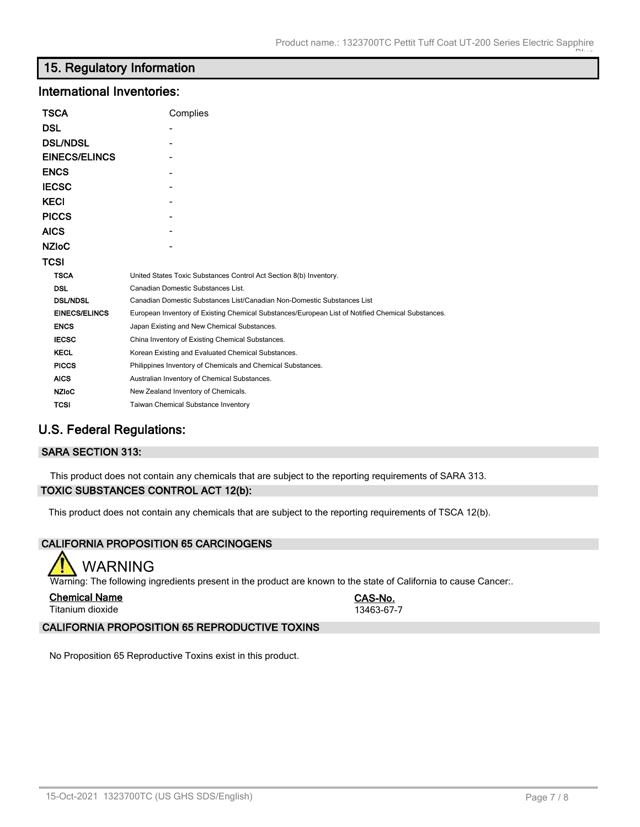# **15. Regulatory Information**

## **International Inventories:**

| TSCA                 | Complies                                                                                          |
|----------------------|---------------------------------------------------------------------------------------------------|
| DSL                  |                                                                                                   |
| <b>DSL/NDSL</b>      |                                                                                                   |
| <b>EINECS/ELINCS</b> |                                                                                                   |
| <b>ENCS</b>          |                                                                                                   |
| <b>IECSC</b>         |                                                                                                   |
| KECI                 |                                                                                                   |
| <b>PICCS</b>         |                                                                                                   |
| AICS                 |                                                                                                   |
| <b>NZIoC</b>         |                                                                                                   |
| TCSI                 |                                                                                                   |
| <b>TSCA</b>          | United States Toxic Substances Control Act Section 8(b) Inventory.                                |
| <b>DSL</b>           | Canadian Domestic Substances List.                                                                |
| <b>DSL/NDSL</b>      | Canadian Domestic Substances List/Canadian Non-Domestic Substances List                           |
| <b>EINECS/ELINCS</b> | European Inventory of Existing Chemical Substances/European List of Notified Chemical Substances. |
| <b>ENCS</b>          | Japan Existing and New Chemical Substances.                                                       |
| <b>IECSC</b>         | China Inventory of Existing Chemical Substances.                                                  |
| <b>KECL</b>          | Korean Existing and Evaluated Chemical Substances.                                                |
| <b>PICCS</b>         | Philippines Inventory of Chemicals and Chemical Substances.                                       |
| <b>AICS</b>          | Australian Inventory of Chemical Substances.                                                      |
| <b>NZIoC</b>         | New Zealand Inventory of Chemicals.                                                               |
| TCSI                 | <b>Taiwan Chemical Substance Inventory</b>                                                        |

# **U.S. Federal Regulations:**

### **SARA SECTION 313:**

This product does not contain any chemicals that are subject to the reporting requirements of SARA 313. **TOXIC SUBSTANCES CONTROL ACT 12(b):**

This product does not contain any chemicals that are subject to the reporting requirements of TSCA 12(b).

### **CALIFORNIA PROPOSITION 65 CARCINOGENS**

# WARNING

Warning: The following ingredients present in the product are known to the state of California to cause Cancer:.

# **Chemical Name CAS-No.**

Titanium dioxide 13463-67-7

# **CALIFORNIA PROPOSITION 65 REPRODUCTIVE TOXINS**

No Proposition 65 Reproductive Toxins exist in this product.